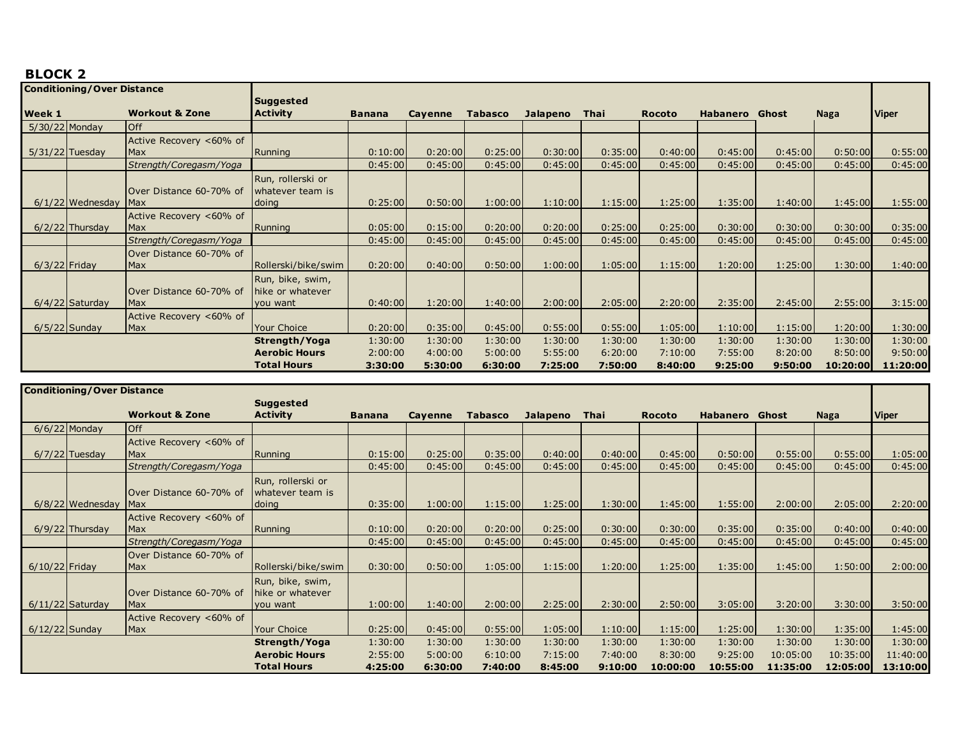## **BLOCK 2**

| <b>Conditioning/Over Distance</b> |                    |                           |                      |               |                |                |                 |             |               |          |         |             |              |
|-----------------------------------|--------------------|---------------------------|----------------------|---------------|----------------|----------------|-----------------|-------------|---------------|----------|---------|-------------|--------------|
|                                   |                    |                           | Suggested            |               |                |                |                 |             |               |          |         |             |              |
| Week 1                            |                    | <b>Workout &amp; Zone</b> | <b>Activity</b>      | <b>Banana</b> | <b>Cayenne</b> | <b>Tabasco</b> | <b>Jalapeno</b> | <b>Thai</b> | <b>Rocoto</b> | Habanero | Ghost   | <b>Naga</b> | <b>Viper</b> |
| $5/30/22$ Monday                  |                    | <b>Off</b>                |                      |               |                |                |                 |             |               |          |         |             |              |
|                                   |                    | Active Recovery <60% of   |                      |               |                |                |                 |             |               |          |         |             |              |
| $5/31/22$ Tuesday                 |                    | Max                       | Running              | 0:10:00       | 0:20:00        | 0:25:00        | 0:30:00         | 0:35:00     | 0:40:00       | 0:45:00  | 0:45:00 | 0:50:00     | 0:55:00      |
|                                   |                    | Strength/Coregasm/Yoga    |                      | 0:45:00       | 0:45:00        | 0:45:00        | 0:45:00         | 0:45:00     | 0:45:00       | 0:45:00  | 0:45:00 | 0:45:00     | 0:45:00      |
|                                   |                    |                           | Run, rollerski or    |               |                |                |                 |             |               |          |         |             |              |
|                                   |                    | Over Distance 60-70% of   | whatever team is     |               |                |                |                 |             |               |          |         |             |              |
|                                   | $6/1/22$ Wednesday | <b>Max</b>                | doing                | 0:25:00       | 0:50:00        | 1:00:00        | 1:10:00         | 1:15:00     | 1:25:00       | 1:35:00  | 1:40:00 | 1:45:00     | 1:55:00      |
|                                   |                    | Active Recovery <60% of   |                      |               |                |                |                 |             |               |          |         |             |              |
|                                   | $6/2/22$ Thursday  | Max                       | Running              | 0:05:00       | 0:15:00        | 0:20:00        | 0:20:00         | 0:25:00     | 0:25:00       | 0:30:00  | 0:30:00 | 0:30:00     | 0:35:00      |
|                                   |                    | Strength/Coregasm/Yoga    |                      | 0:45:00       | 0:45:00        | 0:45:00        | 0:45:00         | 0:45:00     | 0:45:00       | 0:45:00  | 0:45:00 | 0:45:00     | 0:45:00      |
|                                   |                    | Over Distance 60-70% of   |                      |               |                |                |                 |             |               |          |         |             |              |
| $6/3/22$ Friday                   |                    | Max                       | Rollerski/bike/swim  | 0:20:00       | 0:40:00        | 0:50:00        | 1:00:00         | 1:05:00     | 1:15:00       | 1:20:00  | 1:25:00 | 1:30:00     | 1:40:00      |
|                                   |                    |                           | Run, bike, swim,     |               |                |                |                 |             |               |          |         |             |              |
|                                   |                    | Over Distance 60-70% of   | Thike or whatever    |               |                |                |                 |             |               |          |         |             |              |
|                                   | $6/4/22$ Saturday  | Max                       | you want             | 0:40:00       | 1:20:00        | 1:40:00        | 2:00:00         | 2:05:00     | 2:20:00       | 2:35:00  | 2:45:00 | 2:55:00     | 3:15:00      |
|                                   |                    | Active Recovery <60% of   |                      |               |                |                |                 |             |               |          |         |             |              |
|                                   | $6/5/22$ Sunday    | Max                       | <b>Your Choice</b>   | 0:20:00       | 0:35:00        | 0:45:00        | 0:55:00         | 0:55:00     | 1:05:00       | 1:10:00  | 1:15:00 | 1:20:00     | 1:30:00      |
|                                   |                    |                           | Strength/Yoga        | 1:30:00       | 1:30:00        | 1:30:00        | 1:30:00         | 1:30:00     | 1:30:00       | 1:30:00  | 1:30:00 | 1:30:00     | 1:30:00      |
|                                   |                    |                           | <b>Aerobic Hours</b> | 2:00:00       | 4:00:00        | 5:00:00        | 5:55:00         | 6:20:00     | 7:10:00       | 7:55:00  | 8:20:00 | 8:50:00     | 9:50:00      |
|                                   |                    |                           | <b>Total Hours</b>   | 3:30:00       | 5:30:00        | 6:30:00        | 7:25:00         | 7:50:00     | 8:40:00       | 9:25:00  | 9:50:00 | 10:20:00    | 11:20:00     |

|                  | <b>Conditioning/Over Distance</b> |                           |                      |               |         |                |                 |             |               |                       |          |          |              |
|------------------|-----------------------------------|---------------------------|----------------------|---------------|---------|----------------|-----------------|-------------|---------------|-----------------------|----------|----------|--------------|
|                  |                                   |                           | <b>Suggested</b>     |               |         |                |                 |             |               |                       |          |          |              |
|                  |                                   | <b>Workout &amp; Zone</b> | <b>Activity</b>      | <b>Banana</b> | Cayenne | <b>Tabasco</b> | <b>Jalapeno</b> | <b>Thai</b> | <b>Rocoto</b> | <b>Habanero</b> Ghost |          | Naga     | <b>Viper</b> |
|                  | $6/6/22$ Monday                   | <b>Off</b>                |                      |               |         |                |                 |             |               |                       |          |          |              |
|                  |                                   | Active Recovery <60% of   |                      |               |         |                |                 |             |               |                       |          |          |              |
|                  | $6/7/22$ Tuesday                  | Max                       | Running              | 0:15:00       | 0:25:00 | 0:35:00        | 0:40:00         | 0:40:00     | 0:45:00       | 0:50:00               | 0:55:00  | 0:55:00  | 1:05:00      |
|                  |                                   | Strength/Coregasm/Yoga    |                      | 0:45:00       | 0:45:00 | 0:45:00        | 0:45:00         | 0:45:00     | 0:45:00       | 0:45:00               | 0:45:00  | 0:45:00  | 0:45:00      |
|                  |                                   |                           | Run, rollerski or    |               |         |                |                 |             |               |                       |          |          |              |
|                  |                                   | Over Distance 60-70% of   | whatever team is     |               |         |                |                 |             |               |                       |          |          |              |
|                  | $6/8/22$ Wednesday                | Max                       | doing                | 0:35:00       | 1:00:00 | 1:15:00        | 1:25:00         | 1:30:00     | 1:45:00       | 1:55:00               | 2:00:00  | 2:05:00  | 2:20:00      |
|                  |                                   | Active Recovery <60% of   |                      |               |         |                |                 |             |               |                       |          |          |              |
|                  | $6/9/22$ Thursday                 | <b>Max</b>                | Running              | 0:10:00       | 0:20:00 | 0:20:00        | 0:25:00         | 0:30:00     | 0:30:00       | 0:35:00               | 0:35:00  | 0:40:00  | 0:40:00      |
|                  |                                   | Strength/Coregasm/Yoga    |                      | 0:45:00       | 0:45:00 | 0:45:00        | 0:45:00         | 0:45:00     | 0:45:00       | 0:45:00               | 0:45:00  | 0:45:00  | 0:45:00      |
|                  |                                   | Over Distance 60-70% of   |                      |               |         |                |                 |             |               |                       |          |          |              |
| $6/10/22$ Friday |                                   | Max                       | Rollerski/bike/swim  | 0:30:00       | 0:50:00 | 1:05:00        | 1:15:00         | 1:20:00     | 1:25:00       | 1:35:00               | 1:45:00  | 1:50:00  | 2:00:00      |
|                  |                                   |                           | Run, bike, swim,     |               |         |                |                 |             |               |                       |          |          |              |
|                  |                                   | Over Distance 60-70% of   | hike or whatever     |               |         |                |                 |             |               |                       |          |          |              |
|                  | $6/11/22$ Saturday                | <b>Max</b>                | you want             | 1:00:00       | 1:40:00 | 2:00:00        | 2:25:00         | 2:30:00     | 2:50:00       | 3:05:00               | 3:20:00  | 3:30:00  | 3:50:00      |
|                  |                                   | Active Recovery <60% of   |                      |               |         |                |                 |             |               |                       |          |          |              |
| $6/12/22$ Sunday |                                   | Max                       | <b>Your Choice</b>   | 0:25:00       | 0:45:00 | 0:55:00        | 1:05:00         | 1:10:00     | 1:15:00       | 1:25:00               | 1:30:00  | 1:35:00  | 1:45:00      |
|                  |                                   |                           | Strength/Yoga        | 1:30:00       | 1:30:00 | 1:30:00        | 1:30:00         | 1:30:00     | 1:30:00       | 1:30:00               | 1:30:00  | 1:30:00  | 1:30:00      |
|                  |                                   |                           | <b>Aerobic Hours</b> | 2:55:00       | 5:00:00 | 6:10:00        | 7:15:00         | 7:40:00     | 8:30:00       | 9:25:00               | 10:05:00 | 10:35:00 | 11:40:00     |
|                  |                                   |                           | <b>Total Hours</b>   | 4:25:00       | 6:30:00 | 7:40:00        | 8:45:00         | 9:10:00     | 10:00:00      | 10:55:00              | 11:35:00 | 12:05:00 | 13:10:00     |